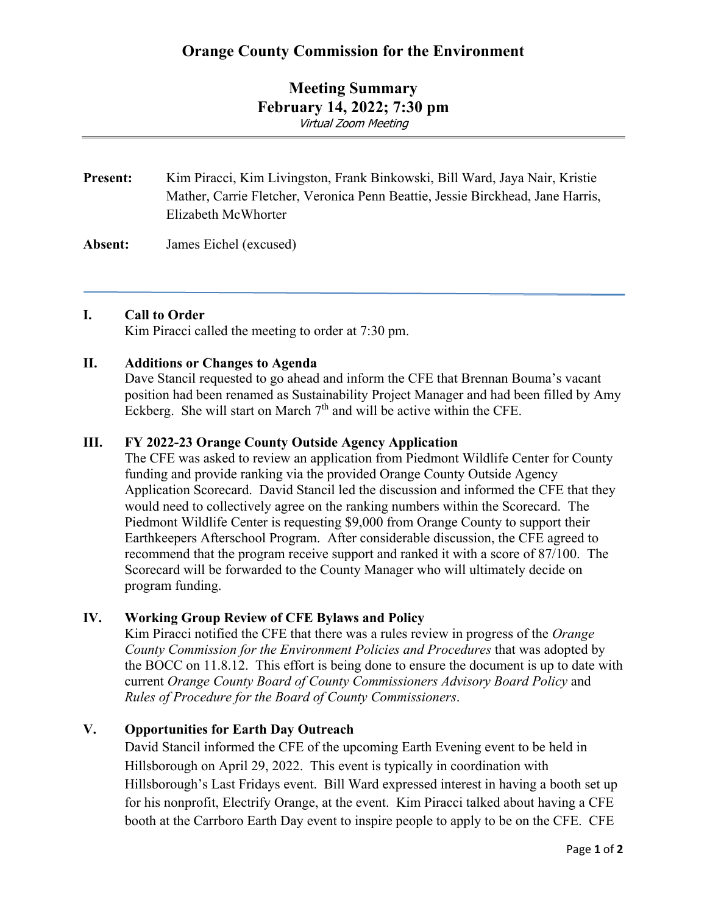# **Orange County Commission for the Environment**

## **Meeting Summary February 14, 2022; 7:30 pm** Virtual Zoom Meeting

# **Present:** Kim Piracci, Kim Livingston, Frank Binkowski, Bill Ward, Jaya Nair, Kristie Mather, Carrie Fletcher, Veronica Penn Beattie, Jessie Birckhead, Jane Harris, Elizabeth McWhorter

**Absent:** James Eichel (excused)

#### **I. Call to Order**

Kim Piracci called the meeting to order at 7:30 pm.

#### **II. Additions or Changes to Agenda**

Dave Stancil requested to go ahead and inform the CFE that Brennan Bouma's vacant position had been renamed as Sustainability Project Manager and had been filled by Amy Eckberg. She will start on March  $7<sup>th</sup>$  and will be active within the CFE.

#### **III. FY 2022-23 Orange County Outside Agency Application**

The CFE was asked to review an application from Piedmont Wildlife Center for County funding and provide ranking via the provided Orange County Outside Agency Application Scorecard. David Stancil led the discussion and informed the CFE that they would need to collectively agree on the ranking numbers within the Scorecard. The Piedmont Wildlife Center is requesting \$9,000 from Orange County to support their Earthkeepers Afterschool Program. After considerable discussion, the CFE agreed to recommend that the program receive support and ranked it with a score of 87/100. The Scorecard will be forwarded to the County Manager who will ultimately decide on program funding.

### **IV. Working Group Review of CFE Bylaws and Policy**

Kim Piracci notified the CFE that there was a rules review in progress of the *Orange County Commission for the Environment Policies and Procedures* that was adopted by the BOCC on 11.8.12. This effort is being done to ensure the document is up to date with current *Orange County Board of County Commissioners Advisory Board Policy* and *Rules of Procedure for the Board of County Commissioners*.

### **V. Opportunities for Earth Day Outreach**

David Stancil informed the CFE of the upcoming Earth Evening event to be held in Hillsborough on April 29, 2022. This event is typically in coordination with Hillsborough's Last Fridays event. Bill Ward expressed interest in having a booth set up for his nonprofit, Electrify Orange, at the event. Kim Piracci talked about having a CFE booth at the Carrboro Earth Day event to inspire people to apply to be on the CFE. CFE